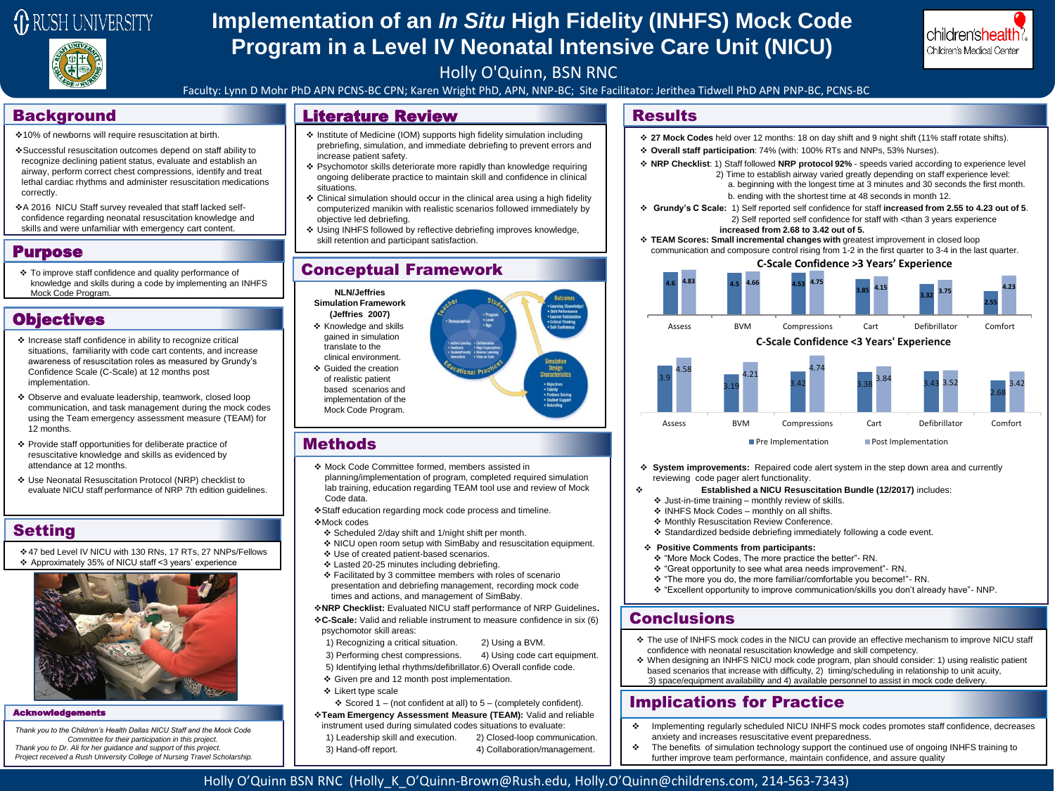

# **Implementation of an** *In Situ* **High Fidelity (INHFS) Mock Code Program in a Level IV Neonatal Intensive Care Unit (NICU)**



#### Holly O'Quinn, BSN RNC

Faculty: Lynn D Mohr PhD APN PCNS-BC CPN; Karen Wright PhD, APN, NNP-BC; Site Facilitator: Jerithea Tidwell PhD APN PNP-BC, PCNS-BC

- 10% of newborns will require resuscitation at birth.
- Successful resuscitation outcomes depend on staff ability to recognize declining patient status, evaluate and establish an airway, perform correct chest compressions, identify and treat lethal cardiac rhythms and administer resuscitation medications correctly.
- A 2016 NICU Staff survey revealed that staff lacked selfconfidence regarding neonatal resuscitation knowledge and skills and were unfamiliar with emergency cart content.

#### Purpose

 To improve staff confidence and quality performance of knowledge and skills during a code by implementing an INHFS Mock Code Program.

## **Objectives**

- $\triangle$  Increase staff confidence in ability to recognize critical situations, familiarity with code cart contents, and increase awareness of resuscitation roles as measured by Grundy's Confidence Scale (C-Scale) at 12 months post implementation.
- Observe and evaluate leadership, teamwork, closed loop communication, and task management during the mock codes using the Team emergency assessment measure (TEAM) for 12 months.
- Provide staff opportunities for deliberate practice of resuscitative knowledge and skills as evidenced by attendance at 12 months.
- Use Neonatal Resuscitation Protocol (NRP) checklist to evaluate NICU staff performance of NRP 7th edition guidelines.

## Setting

47 bed Level IV NICU with 130 RNs, 17 RTs, 27 NNPs/Fellows Approximately 35% of NICU staff <3 years' experience



#### **Acknowled**

*Thank you to the Children's Health Dallas NICU Staff and the Mock Code Committee for their participation in this project. Thank you to Dr. Ali for her guidance and support of this project. Project received a Rush University College of Nursing Travel Scholarship.* 

## Background **Results Results Results Results Results**

- Institute of Medicine (IOM) supports high fidelity simulation including prebriefing, simulation, and immediate debriefing to prevent errors and increase patient safety.
- Psychomotor skills deteriorate more rapidly than knowledge requiring ongoing deliberate practice to maintain skill and confidence in clinical situations.
- Clinical simulation should occur in the clinical area using a high fidelity computerized manikin with realistic scenarios followed immediately by objective led debriefing.
- Using INHFS followed by reflective debriefing improves knowledge, skill retention and participant satisfaction.

## Conceptual Framework



### **Methods**

- Mock Code Committee formed, members assisted in planning/implementation of program, completed required simulation lab training, education regarding TEAM tool use and review of Mock Code data.
- Staff education regarding mock code process and timeline. Mock codes
- Scheduled 2/day shift and 1/night shift per month.
- NICU open room setup with SimBaby and resuscitation equipment. Use of created patient-based scenarios.
- Lasted 20-25 minutes including debriefing.
- $\div$  Facilitated by 3 committee members with roles of scenario
- presentation and debriefing management, recording mock code times and actions, and management of SimBaby.

**NRP Checklist:** Evaluated NICU staff performance of NRP Guidelines**. C-Scale:** Valid and reliable instrument to measure confidence in six (6) psychomotor skill areas:

- 1) Recognizing a critical situation. 2) Using a BVM.
- 3) Performing chest compressions. 4) Using code cart equipment.
- 5) Identifying lethal rhythms/defibrillator.6) Overall confide code.
- Given pre and 12 month post implementation.
- Likert type scale
- $\div$  Scored 1 (not confident at all) to 5 (completely confident).

**Team Emergency Assessment Measure (TEAM):** Valid and reliable instrument used during simulated codes situations to evaluate:

- 
- **27 Mock Codes** held over 12 months: 18 on day shift and 9 night shift (11% staff rotate shifts).
- **Overall staff participation**: 74% (with: 100% RTs and NNPs, 53% Nurses).
- **NRP Checklist**: 1) Staff followed **NRP protocol 92%**  speeds varied according to experience level 2) Time to establish airway varied greatly depending on staff experience level:
	- a. beginning with the longest time at 3 minutes and 30 seconds the first month. b. ending with the shortest time at 48 seconds in month 12.
- **Grundy's C Scale:** 1) Self reported self confidence for staff **increased from 2.55 to 4.23 out of 5**. 2) Self reported self confidence for staff with <than 3 years experience
	- **increased from 2.68 to 3.42 out of 5.**
- **TEAM Scores: Small incremental changes with** greatest improvement in closed loop communication and composure control rising from 1-2 in the first quarter to 3-4 in the last quarter.

**C-Scale Confidence >3 Years' Experience** 



- **System improvements:** Repaired code alert system in the step down area and currently reviewing code pager alert functionality.
- **Established a NICU Resuscitation Bundle (12/2017)** includes:
	- $\triangleq$  Just-in-time training monthly review of skills.
	- INHFS Mock Codes monthly on all shifts.
	- Monthly Resuscitation Review Conference.
	- Standardized bedside debriefing immediately following a code event.
- **Positive Comments from participants:**
- "More Mock Codes, The more practice the better"- RN.
- "Great opportunity to see what area needs improvement"- RN.
- "The more you do, the more familiar/comfortable you become!"- RN.
- "Excellent opportunity to improve communication/skills you don't already have"- NNP.

## **Conclusions**

- The use of INHFS mock codes in the NICU can provide an effective mechanism to improve NICU staff confidence with neonatal resuscitation knowledge and skill competency.
- When designing an INHFS NICU mock code program, plan should consider: 1) using realistic patient based scenarios that increase with difficulty, 2) timing/scheduling in relationship to unit acuity, 3) space/equipment availability and 4) available personnel to assist in mock code delivery.

## Implications for Practice

- Implementing regularly scheduled NICU INHFS mock codes promotes staff confidence, decreases anxiety and increases resuscitative event preparedness.
- \* The benefits of simulation technology support the continued use of ongoing INHFS training to further improve team performance, maintain confidence, and assure quality

### Holly O'Quinn BSN RNC (Holly\_K\_O'Quinn-Brown@Rush.edu, Holly.O'Quinn@childrens.com, 214-563-7343)

- 
- 
- 
- 
- 

1) Leadership skill and execution. 2) Closed-loop communication.

3) Hand-off report. 4) Collaboration/management.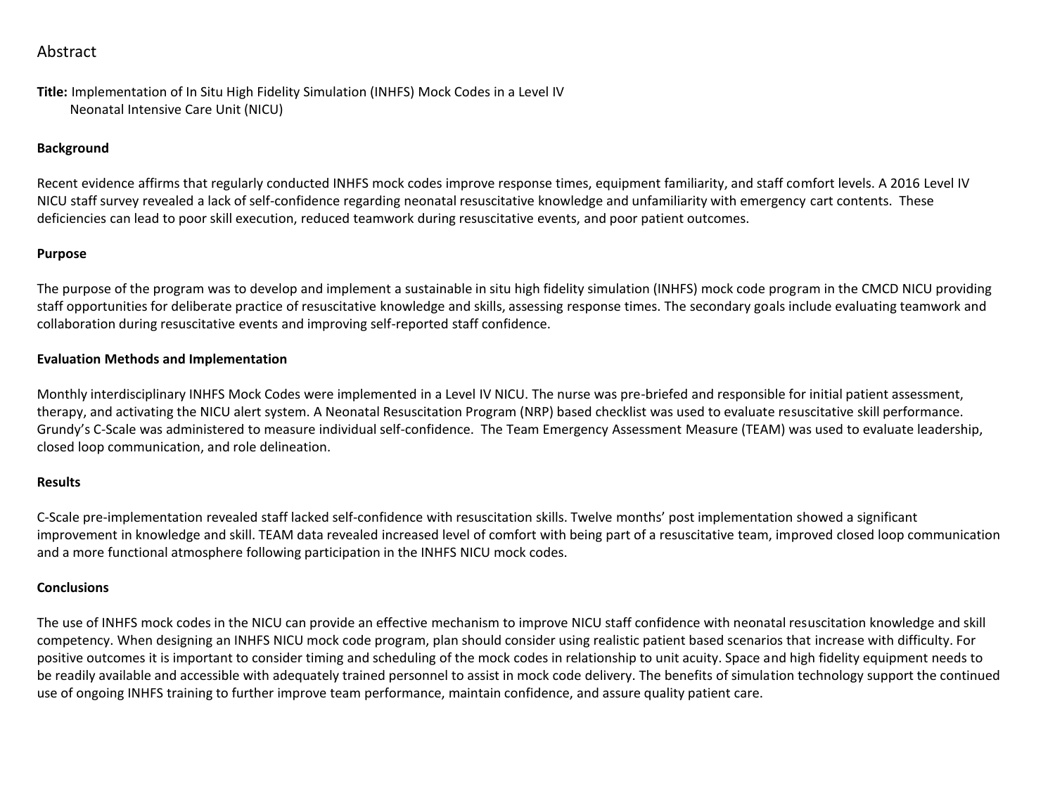## Abstract

**Title:** Implementation of In Situ High Fidelity Simulation (INHFS) Mock Codes in a Level IV Neonatal Intensive Care Unit (NICU)

#### **Background**

Recent evidence affirms that regularly conducted INHFS mock codes improve response times, equipment familiarity, and staff comfort levels. A 2016 Level IV NICU staff survey revealed a lack of self-confidence regarding neonatal resuscitative knowledge and unfamiliarity with emergency cart contents. These deficiencies can lead to poor skill execution, reduced teamwork during resuscitative events, and poor patient outcomes.

#### **Purpose**

The purpose of the program was to develop and implement a sustainable in situ high fidelity simulation (INHFS) mock code program in the CMCD NICU providing staff opportunities for deliberate practice of resuscitative knowledge and skills, assessing response times. The secondary goals include evaluating teamwork and collaboration during resuscitative events and improving self-reported staff confidence.

#### **Evaluation Methods and Implementation**

Monthly interdisciplinary INHFS Mock Codes were implemented in a Level IV NICU. The nurse was pre-briefed and responsible for initial patient assessment, therapy, and activating the NICU alert system. A Neonatal Resuscitation Program (NRP) based checklist was used to evaluate resuscitative skill performance. Grundy's C-Scale was administered to measure individual self-confidence. The Team Emergency Assessment Measure (TEAM) was used to evaluate leadership, closed loop communication, and role delineation.

#### **Results**

C-Scale pre-implementation revealed staff lacked self-confidence with resuscitation skills. Twelve months' post implementation showed a significant improvement in knowledge and skill. TEAM data revealed increased level of comfort with being part of a resuscitative team, improved closed loop communication and a more functional atmosphere following participation in the INHFS NICU mock codes.

#### **Conclusions**

The use of INHFS mock codes in the NICU can provide an effective mechanism to improve NICU staff confidence with neonatal resuscitation knowledge and skill competency. When designing an INHFS NICU mock code program, plan should consider using realistic patient based scenarios that increase with difficulty. For positive outcomes it is important to consider timing and scheduling of the mock codes in relationship to unit acuity. Space and high fidelity equipment needs to be readily available and accessible with adequately trained personnel to assist in mock code delivery. The benefits of simulation technology support the continued use of ongoing INHFS training to further improve team performance, maintain confidence, and assure quality patient care.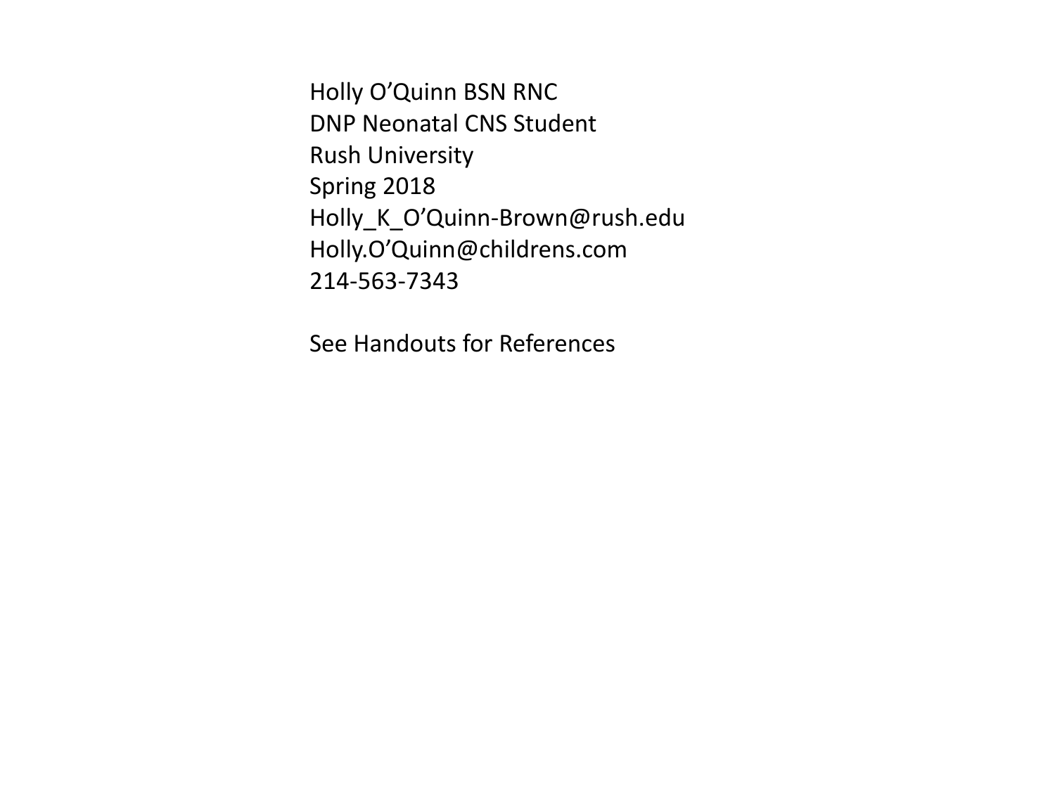Holly O'Quinn BSN RNC DNP Neonatal CNS Student Rush University Spring 2018 Holly\_K\_O'Quinn-Brown@rush.edu Holly.O'Quinn@childrens.com 214-563-7343

See Handouts for References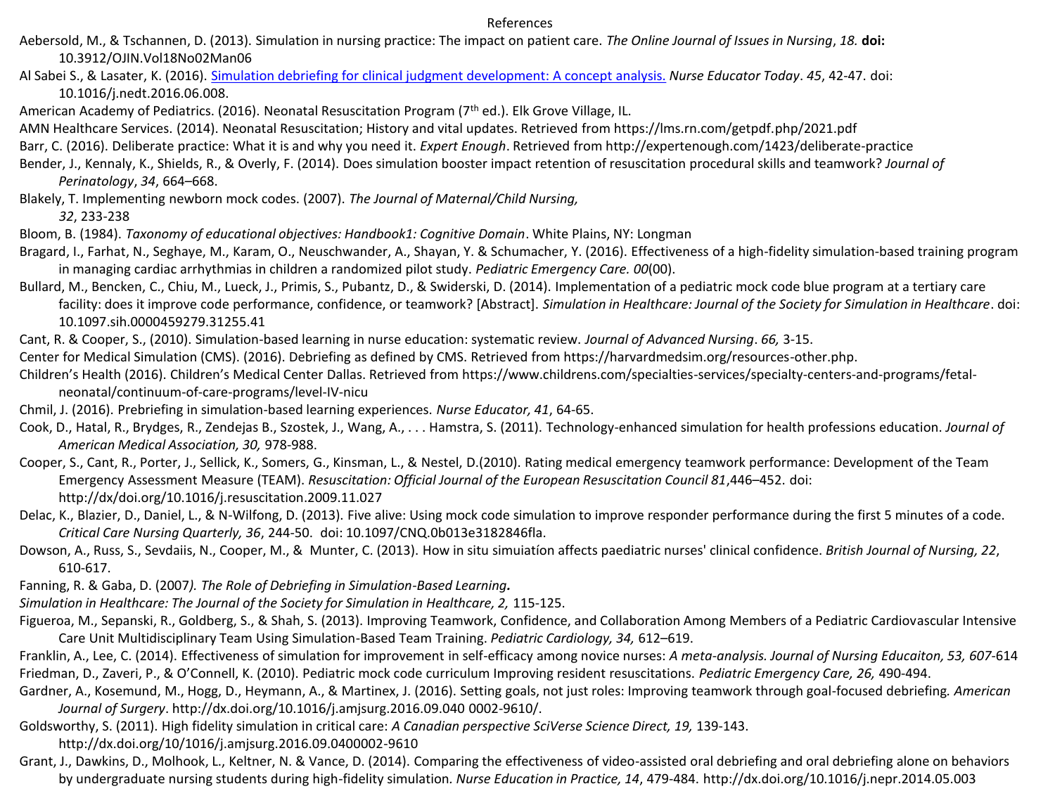#### References

- Aebersold, M., & Tschannen, D. (2013). Simulation in nursing practice: The impact on patient care. *The Online Journal of Issues in Nursing*, *18.* **doi:** 10.3912/OJIN.Vol18No02Man06
- Al Sabei S., & Lasater, K. (2016). [Simulation debriefing for clinical judgment development: A concept analysis.](https://www-ncbi-nlm-nih-gov.ezproxy.rush.edu/pubmed/27429402) *Nurse Educator Today*. *45*, 42-47. doi: 10.1016/j.nedt.2016.06.008.
- American Academy of Pediatrics. (2016). Neonatal Resuscitation Program (7th ed.). Elk Grove Village, IL.
- AMN Healthcare Services. (2014). Neonatal Resuscitation; History and vital updates. Retrieved from https://lms.rn.com/getpdf.php/2021.pdf
- Barr, C. (2016). Deliberate practice: What it is and why you need it. *Expert Enough*. Retrieved from http://expertenough.com/1423/deliberate-practice
- Bender, J., Kennaly, K., Shields, R., & Overly, F. (2014). Does simulation booster impact retention of resuscitation procedural skills and teamwork? *Journal of Perinatology*, *34*, 664–668.
- Blakely, T. Implementing newborn mock codes. (2007). *The Journal of Maternal/Child Nursing,*

*32*, 233-238

- Bloom, B. (1984). *Taxonomy of educational objectives: Handbook1: Cognitive Domain*. White Plains, NY: Longman
- Bragard, I., Farhat, N., Seghaye, M., Karam, O., Neuschwander, A., Shayan, Y. & Schumacher, Y. (2016). Effectiveness of a high-fidelity simulation-based training program in managing cardiac arrhythmias in children a randomized pilot study. *Pediatric Emergency Care. 00*(00).
- Bullard, M., Bencken, C., Chiu, M., Lueck, J., Primis, S., Pubantz, D., & Swiderski, D. (2014). Implementation of a pediatric mock code blue program at a tertiary care facility: does it improve code performance, confidence, or teamwork? [Abstract]. *Simulation in Healthcare: Journal of the Society for Simulation in Healthcare*. doi: 10.1097.sih.0000459279.31255.41
- Cant, R. & Cooper, S., (2010). Simulation-based learning in nurse education: systematic review. *Journal of Advanced Nursing*. *66,* 3-15.
- Center for Medical Simulation (CMS). (2016). Debriefing as defined by CMS. Retrieved from https://harvardmedsim.org/resources-other.php.
- Children's Health (2016). Children's Medical Center Dallas. Retrieved from https://www.childrens.com/specialties-services/specialty-centers-and-programs/fetalneonatal/continuum-of-care-programs/level-IV-nicu
- Chmil, J. (2016). Prebriefing in simulation-based learning experiences. *Nurse Educator, 41*, 64-65.
- Cook, D., Hatal, R., Brydges, R., Zendejas B., Szostek, J., Wang, A., . . . Hamstra, S. (2011). Technology-enhanced simulation for health professions education. *Journal of American Medical Association, 30,* 978-988.
- Cooper, S., Cant, R., Porter, J., Sellick, K., Somers, G., Kinsman, L., & Nestel, D.(2010). Rating medical emergency teamwork performance: Development of the Team Emergency Assessment Measure (TEAM). *Resuscitation: Official Journal of the European Resuscitation Council 81*,446–452. doi: http://dx/doi.org/10.1016/j.resuscitation.2009.11.027
- Delac, K., Blazier, D., Daniel, L., & N-Wilfong, D. (2013). Five alive: Using mock code simulation to improve responder performance during the first 5 minutes of a code. *Critical Care Nursing Quarterly, 36*, 244-50. doi: 10.1097/CNQ.0b013e3182846fla.
- Dowson, A., Russ, S., Sevdaiis, N., Cooper, M., & Munter, C. (2013). How in situ simuiatíon affects paediatric nurses' clinical confidence. *British Journal of Nursing, 22*, 610-617.
- Fanning, R. & Gaba, D. (2007*). The Role of Debriefing in Simulation-Based Learning.*
- Simulation in Healthcare: The Journal of the Society for Simulation in Healthcare, 2, 115-125.
- Figueroa, M., Sepanski, R., Goldberg, S., & Shah, S. (2013). Improving Teamwork, Confidence, and Collaboration Among Members of a Pediatric Cardiovascular Intensive Care Unit Multidisciplinary Team Using Simulation-Based Team Training. *Pediatric Cardiology, 34,* 612–619.
- Franklin, A., Lee, C. (2014). Effectiveness of simulation for improvement in self-efficacy among novice nurses: *A meta-analysis. Journal of Nursing Educaiton, 53, 607*-614 Friedman, D., Zaveri, P., & O'Connell, K. (2010). Pediatric mock code curriculum Improving resident resuscitations. *Pediatric Emergency Care, 26,* 490-494.
- Gardner, A., Kosemund, M., Hogg, D., Heymann, A., & Martinex, J. (2016). Setting goals, not just roles: Improving teamwork through goal-focused debriefing*. American Journal of Surgery*. http://dx.doi.org/10.1016/j.amjsurg.2016.09.040 0002-9610/.
- Goldsworthy, S. (2011). High fidelity simulation in critical care: *A Canadian perspective SciVerse Science Direct, 19,* 139-143.
	- http://dx.doi.org/10/1016/j.amjsurg.2016.09.0400002-9610
- Grant, J., Dawkins, D., Molhook, L., Keltner, N. & Vance, D. (2014). Comparing the effectiveness of video-assisted oral debriefing and oral debriefing alone on behaviors by undergraduate nursing students during high-fidelity simulation*. Nurse Education in Practice, 14*, 479-484. http://dx.doi.org/10.1016/j.nepr.2014.05.003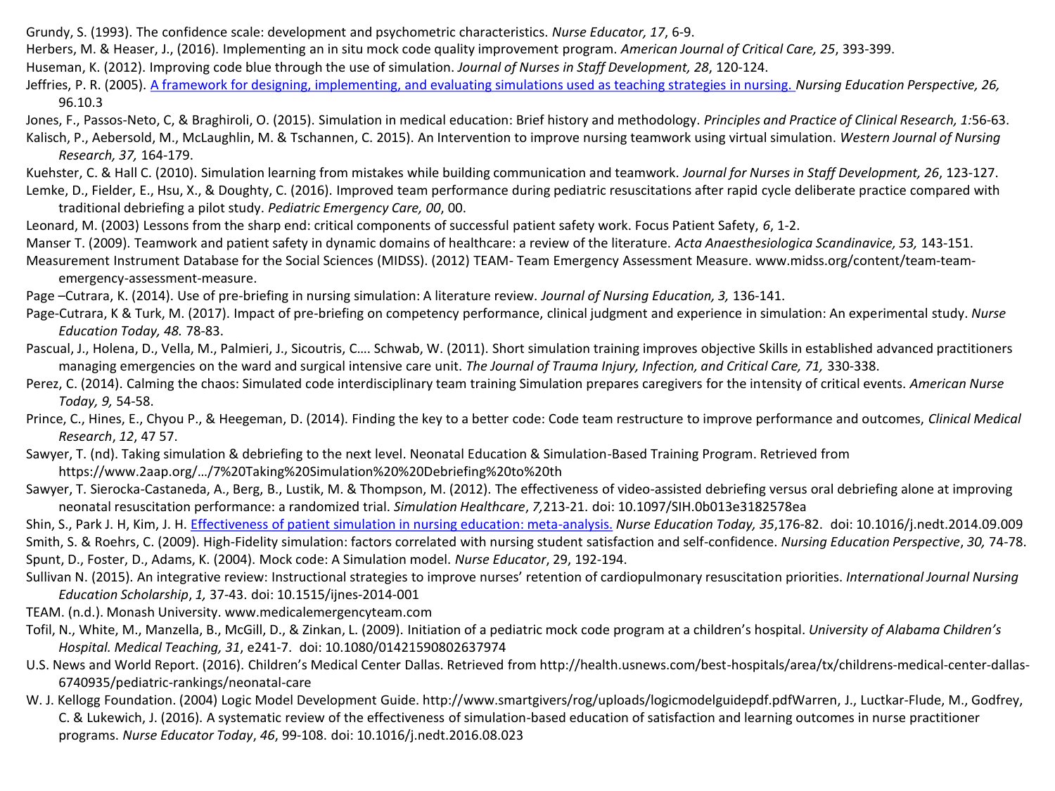- Grundy, S. (1993). The confidence scale: development and psychometric characteristics. *Nurse Educator, 17*, 6-9.
- Herbers, M. & Heaser, J., (2016). Implementing an in situ mock code quality improvement program. *American Journal of Critical Care, 25*, 393-399.
- Huseman, K. (2012). Improving code blue through the use of simulation. *Journal of Nurses in Staff Development, 28*, 120-124.
- Jeffries, P. R. (2005). [A framework for designing, implementing, and evaluating simulations used as teaching strategies in nursing.](http://ovidsp.tx.ovid.com.ezproxy.rush.edu/sp-3.22.1b/ovidweb.cgi?&S=PPCNFPNAKLDDLMOGNCHKFCFBEENNAA00&Link+Set=S.projects.21|17|sl_10) *Nursing Education Perspective, 26,* 96.10.3
- Jones, F., Passos-Neto, C, & Braghiroli, O. (2015). Simulation in medical education: Brief history and methodology. *Principles and Practice of Clinical Research, 1:*56-63. Kalisch, P., Aebersold, M., McLaughlin, M. & Tschannen, C. 2015). An Intervention to improve nursing teamwork using virtual simulation. *Western Journal of Nursing*
- *Research, 37,* 164-179. Kuehster, C. & Hall C. (2010). Simulation learning from mistakes while building communication and teamwork*. Journal for Nurses in Staff Development, 26*, 123-127.
- Lemke, D., Fielder, E., Hsu, X., & Doughty, C. (2016). Improved team performance during pediatric resuscitations after rapid cycle deliberate practice compared with traditional debriefing a pilot study. *Pediatric Emergency Care, 00*, 00.
- Leonard, M. (2003) Lessons from the sharp end: critical components of successful patient safety work. Focus Patient Safety, *6*, 1-2.
- Manser T. (2009). Teamwork and patient safety in dynamic domains of healthcare: a review of the literature. *Acta Anaesthesiologica Scandinavice, 53,* 143-151.
- Measurement Instrument Database for the Social Sciences (MIDSS). (2012) TEAM- Team Emergency Assessment Measure. www.midss.org/content/team-teamemergency-assessment-measure.
- Page –Cutrara, K. (2014). Use of pre-briefing in nursing simulation: A literature review. *Journal of Nursing Education, 3,* 136-141.
- Page-Cutrara, K & Turk, M. (2017). Impact of pre-briefing on competency performance, clinical judgment and experience in simulation: An experimental study. *Nurse Education Today, 48.* 78-83.
- Pascual, J., Holena, D., Vella, M., Palmieri, J., Sicoutris, C…. Schwab, W. (2011). Short simulation training improves objective Skills in established advanced practitioners managing emergencies on the ward and surgical intensive care unit. *The Journal of Trauma Injury, Infection, and Critical Care, 71,* 330-338.
- Perez, C. (2014). Calming the chaos: Simulated code interdisciplinary team training Simulation prepares caregivers for the intensity of critical events. *American Nurse Today, 9,* 54-58.
- Prince, C., Hines, E., Chyou P., & Heegeman, D. (2014). Finding the key to a better code: Code team restructure to improve performance and outcomes, *Clinical Medical Research*, *12*, 47 57.
- Sawyer, T. (nd). Taking simulation & debriefing to the next level. Neonatal Education & Simulation-Based Training Program. Retrieved from https://www.2aap.org/…/7%20Taking%20Simulation%20%20Debriefing%20to%20th
- Sawyer, T. Sierocka-Castaneda, A., Berg, B., Lustik, M. & Thompson, M. (2012). The effectiveness of video-assisted debriefing versus oral debriefing alone at improving neonatal resuscitation performance: a randomized trial. *Simulation Healthcare*, *7,*213-21. doi: 10.1097/SIH.0b013e3182578ea
- Shin, S., Park J. H, Kim, J. H. [Effectiveness of patient simulation in nursing education: meta-analysis.](https://www-ncbi-nlm-nih-gov.ezproxy.rush.edu/pubmed/25459172) *Nurse Education Today, 35*,176-82. doi: 10.1016/j.nedt.2014.09.009 Smith, S. & Roehrs, C. (2009). High-Fidelity simulation: factors correlated with nursing student satisfaction and self-confidence. *Nursing Education Perspective*, *30,* 74-78. Spunt, D., Foster, D., Adams, K. (2004). Mock code: A Simulation model. *Nurse Educator*, 29, 192-194.
- Sullivan N. (2015). An integrative review: Instructional strategies to improve nurses' retention of cardiopulmonary resuscitation priorities. *International Journal Nursing Education Scholarship*, *1,* 37-43. doi: 10.1515/ijnes-2014-001
- TEAM. (n.d.). Monash University. www.medicalemergencyteam.com
- Tofil, N., White, M., Manzella, B., McGill, D., & Zinkan, L. (2009). Initiation of a pediatric mock code program at a children's hospital. *University of Alabama Children's Hospital. Medical Teaching, 31*, e241-7. doi: 10.1080/01421590802637974
- U.S. News and World Report. (2016). Children's Medical Center Dallas. Retrieved from http://health.usnews.com/best-hospitals/area/tx/childrens-medical-center-dallas-6740935/pediatric-rankings/neonatal-care
- W. J. Kellogg Foundation. (2004) Logic Model Development Guide. http://www.smartgivers/rog/uploads/logicmodelguidepdf.pdfWarren, J., Luctkar-Flude, M., Godfrey, C. & Lukewich, J. (2016). A systematic review of the effectiveness of simulation-based education of satisfaction and learning outcomes in nurse practitioner programs. *Nurse Educator Today*, *46*, 99-108. doi: 10.1016/j.nedt.2016.08.023